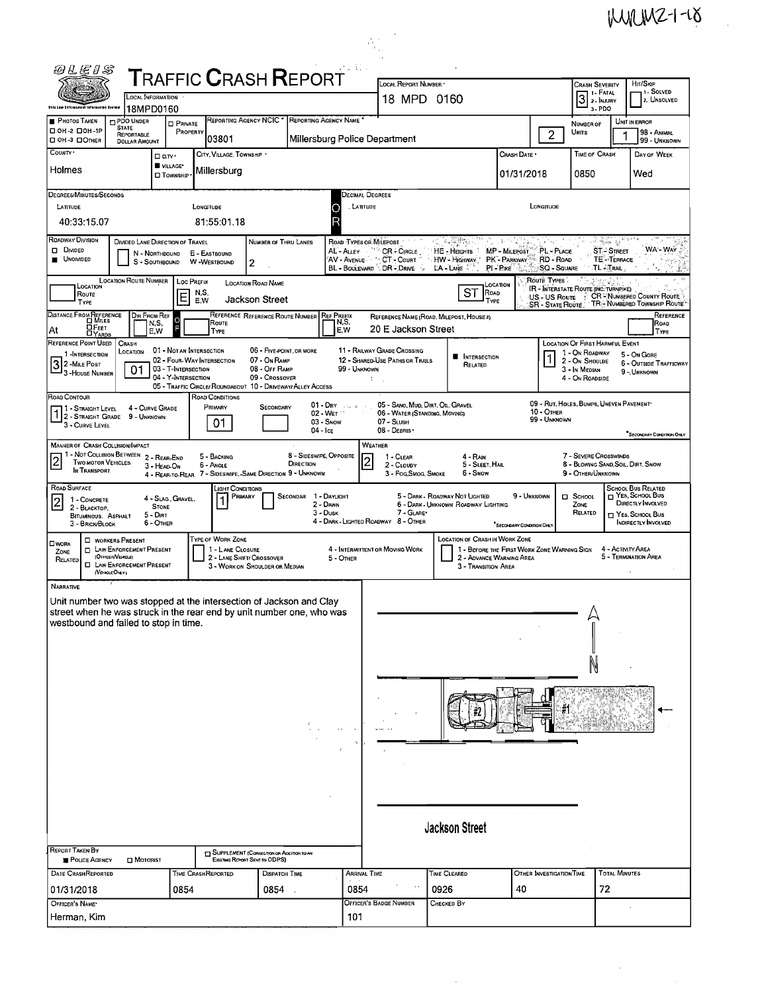$MMMZ-1-18$ 

 $\label{eq:2.1} \begin{split} \mathcal{L}_{\text{max}}(\mathbf{r}) = \mathcal{L}_{\text{max}}(\mathbf{r}) \end{split}$ 

|                                                                                                                                                                                                                                                                                                                                                                                                            |                                                                                                                                                                                                                                                                                                                                                                                                                                                                                                           |                               |                                                                                                      |                                             |                                      |                                      |                                                                                                                   |                                                                       |                                                                         |                                      |                                      |                                         | w                                                                                                                    |
|------------------------------------------------------------------------------------------------------------------------------------------------------------------------------------------------------------------------------------------------------------------------------------------------------------------------------------------------------------------------------------------------------------|-----------------------------------------------------------------------------------------------------------------------------------------------------------------------------------------------------------------------------------------------------------------------------------------------------------------------------------------------------------------------------------------------------------------------------------------------------------------------------------------------------------|-------------------------------|------------------------------------------------------------------------------------------------------|---------------------------------------------|--------------------------------------|--------------------------------------|-------------------------------------------------------------------------------------------------------------------|-----------------------------------------------------------------------|-------------------------------------------------------------------------|--------------------------------------|--------------------------------------|-----------------------------------------|----------------------------------------------------------------------------------------------------------------------|
| 0LE1S                                                                                                                                                                                                                                                                                                                                                                                                      |                                                                                                                                                                                                                                                                                                                                                                                                                                                                                                           |                               | TRAFFIC CRASH REPORT                                                                                 |                                             |                                      |                                      |                                                                                                                   |                                                                       |                                                                         |                                      |                                      |                                         |                                                                                                                      |
| Dalo Law Cafcrosment Information Everse                                                                                                                                                                                                                                                                                                                                                                    | LOCAL INFORMATION<br>18MPD0160                                                                                                                                                                                                                                                                                                                                                                                                                                                                            |                               |                                                                                                      |                                             |                                      | LOCAL REPORT NUMBER *<br>18 MPD 0160 |                                                                                                                   | <b>CRASH SEVERITY</b><br>3<br>3-PDO                                   |                                                                         | HIT/SKIP<br>11 Solved<br>2. UNSOLVED |                                      |                                         |                                                                                                                      |
| <b>PHOTOS TAKEN</b><br>□ 0Н-2 □ 0Н-1Р                                                                                                                                                                                                                                                                                                                                                                      | PDO UNDER<br><b>STATE</b><br>REPORTABLE                                                                                                                                                                                                                                                                                                                                                                                                                                                                   | <b>PRIVATE</b><br>PROPERTY    | REPORTING AGENCY NCIC * REPORTING AGENCY NAME *                                                      |                                             |                                      |                                      | NUMBER OF<br>UNITS                                                                                                | 1                                                                     | UNIT IN ERROR<br>98 - ANIMAL                                            |                                      |                                      |                                         |                                                                                                                      |
| <b>□ OH-3 □ ОTHER</b><br>$\overline{\text{Coun}_1}$                                                                                                                                                                                                                                                                                                                                                        | <b>DOLLAR AMOUNT</b><br>□ arv·                                                                                                                                                                                                                                                                                                                                                                                                                                                                            |                               | 103801<br>CITY, VILLAGE, TOWNSHIP                                                                    |                                             |                                      |                                      | Millersburg Police Department                                                                                     |                                                                       | Crash Date .                                                            | $\overline{c}$                       | <b>TIME OF CRASH</b>                 |                                         | 99 - UNKNOWN<br>DAY OF WEEK                                                                                          |
| Holmes                                                                                                                                                                                                                                                                                                                                                                                                     |                                                                                                                                                                                                                                                                                                                                                                                                                                                                                                           | VILLAGE*<br><b>O</b> TOWNSHIP | Millersburg                                                                                          |                                             |                                      |                                      |                                                                                                                   |                                                                       | 01/31/2018                                                              |                                      | 0850                                 |                                         | Wed                                                                                                                  |
| DEGREES/MINUTES/SECONDS<br>LATITUDE                                                                                                                                                                                                                                                                                                                                                                        |                                                                                                                                                                                                                                                                                                                                                                                                                                                                                                           |                               | LONGITUDE                                                                                            |                                             |                                      | С                                    | DECIMAL DEGREES<br>. LATITUDE                                                                                     |                                                                       |                                                                         | LONGITUOE                            |                                      |                                         |                                                                                                                      |
| 40:33:15.07<br>ROADWAY DIVISION                                                                                                                                                                                                                                                                                                                                                                            |                                                                                                                                                                                                                                                                                                                                                                                                                                                                                                           |                               | 81:55:01.18                                                                                          |                                             |                                      |                                      |                                                                                                                   |                                                                       |                                                                         |                                      |                                      |                                         |                                                                                                                      |
| D DIVIDED<br><b>UNOIVIDED</b>                                                                                                                                                                                                                                                                                                                                                                              | DIVIDED LANE DIRECTION OF TRAVEL<br>N - Northbound<br>S - SOUTHBOUND                                                                                                                                                                                                                                                                                                                                                                                                                                      |                               | E - EASTBOUND<br>W-WESTBOUND                                                                         | NUMBER OF THRU LANES<br>2                   |                                      | AL - ALLEY                           | ROAD TYPES OR MILEPOST<br>CR-CIRCLE<br>AV - Avenue ` ^ CT - Court<br>BL - BOULEVARD & DR - DRIVE<br>$\rightarrow$ | 2010年4月11日<br>HE-HEGHTS<br>HW - HIGHWAY<br>LA - LANE                  | 95. IN 1972<br>MP - MILEPOST<br>PK - PARKWAY  RD - ROAD<br>PI-RIKE      | PL - PLACE<br><b>SQ - SQUARE</b>     | <b>TL TRAIL</b>                      | 网络威廉加<br><b>ST-STREET</b><br>TE-TERRACE | WA - Way                                                                                                             |
| Route<br>TYPE                                                                                                                                                                                                                                                                                                                                                                                              | LOCATION ROUTE NUMBER                                                                                                                                                                                                                                                                                                                                                                                                                                                                                     | Loc Prefix<br>E               | N,S<br>E.W                                                                                           | <b>LOCATION ROAD NAME</b><br>Jackson Street |                                      |                                      |                                                                                                                   | ST<br>ROAD<br>Type                                                    | LOCATION                                                                | Route Types                          | IR - INTERSTATE ROUTE (NC. TURNPIKE) |                                         | US - US ROUTE : CR-NUMBERED COUNTY ROUTE<br>SR - STATE ROUTE TR - NUMBERED TOWNSHIP ROUTE                            |
| DISTANCE FROM REFERENCE<br><b>DFEET</b><br>At                                                                                                                                                                                                                                                                                                                                                              | DIR FROM REF<br>N,S,<br>EW                                                                                                                                                                                                                                                                                                                                                                                                                                                                                |                               | REFERENCE REFERENCE ROUTE NUMBER<br>Route<br>TYPE                                                    |                                             |                                      | <b>REF PREFIX</b><br>N,S,<br>E,W     | 20 E Jackson Street                                                                                               | REFERENCE NAME (ROAD, MILEPOST, HOUSE 4)                              |                                                                         |                                      |                                      |                                         | REFERENCE<br>ROAD<br>TYPE                                                                                            |
| Π YARDS<br>REFERENCE POINT USED<br>LOCATION OF FIRST HARMFUL EVENT<br>CRASH<br>01 - NOT AN INTERSECTION<br>06 - FIVE-POINT, OR MORE<br>11 - RAILWAY GRADE CROSSING<br>LOCATION<br>1 - On ROADWAY<br>1-INTERSECTION<br>5 - On GORE<br><b>NETERSECTION</b><br>07 - On RAMP<br>12 - SHARED-USE PATHS OR TRAILS<br>02 - FOUR-WAY INTERSECTION<br>2 - On Shoulde                                                |                                                                                                                                                                                                                                                                                                                                                                                                                                                                                                           |                               |                                                                                                      |                                             |                                      |                                      |                                                                                                                   |                                                                       |                                                                         |                                      | 6 - OUTSIDE TRAFFICWAY               |                                         |                                                                                                                      |
|                                                                                                                                                                                                                                                                                                                                                                                                            | 32-MILE POST<br>RELATED<br>01<br>03 - T-INTERSECTION<br>08 - OFF RAMP<br>99 - UNKNOWN<br>3 - In Median<br>9 - UNKNOWN<br>3-HOUSE NUMBER<br>04 - Y-INTERSECTION<br>09 - Crossover<br>4 - On ROADSIDE<br>÷<br>05 - TRAFFIC CIRCLE/ROUNDABOUT 10 - DRIVEWAY/ ALLEY ACCESS                                                                                                                                                                                                                                    |                               |                                                                                                      |                                             |                                      |                                      |                                                                                                                   |                                                                       |                                                                         |                                      |                                      |                                         |                                                                                                                      |
| ROAD CONTOUR<br>ROAD CONDITIONS<br>09 - RUT, HOLES, BUMPS, UNEVEN PAVEMENT*<br>05 - SANO, MUD, DIRT, OIL, GRAVEL<br>$01 - \text{Draw}$<br>PRIMARY<br>SECONDARY<br>11 - STRAIGHT LEVEL<br>4 - CURVE GRADE<br>1 - STRAIGHT LEVEL 4 - CURVE CH<br>10 - OTHER<br>02 - WET<br>06 - WATER (STANDING, MOVING)<br>99 - UNKNOWN<br>$03 -$ SNOW<br>07 - SLUSH<br>01.<br>3 - CURVE LEVEL<br>08 - DEBRIS<br>$04 -$ Ice |                                                                                                                                                                                                                                                                                                                                                                                                                                                                                                           |                               |                                                                                                      |                                             |                                      |                                      |                                                                                                                   |                                                                       |                                                                         |                                      |                                      |                                         |                                                                                                                      |
|                                                                                                                                                                                                                                                                                                                                                                                                            | "SECONDARY CONDITION ONLY<br><b>WEATHER</b><br><b>MANNER OF CRASH COLLISION/IMPACT</b><br>1 - Not Collision Between 2 - Rear-End<br>8 - SIDESWIPE, OPPOSITE<br>7 - SEVERE CROSSWINDS<br>5 - BACKING<br>1 - CLEAR<br>4 - RAIN<br>TWO MOTOR VEHICLES<br>DIRECTION<br>8 - BLOWING SAND, SOIL, DIRT, SNOW<br>6 - Angle<br>2 - CLOUDY<br>5 - SLEET, HAIL<br>3 - HEAD-ON<br>IN TRANSPORT<br>4 - REAR-TO-REAR 7 - SIDESWIPE, -SAME DIRECTION 9 - UNKNOWN<br>3 - Fog.Smog. Smoke<br>6 - Snow<br>9 - OTHER/UNKNOWN |                               |                                                                                                      |                                             |                                      |                                      |                                                                                                                   |                                                                       |                                                                         |                                      |                                      |                                         |                                                                                                                      |
| ROAD SURFACE<br>1 - CONCRETE<br> 2<br>2 - BLACKTOP,<br>BITUMINOUS, ASPHALT<br>3 - BRICK/BLOCK                                                                                                                                                                                                                                                                                                              | <b>STONE</b><br>5 - Dirt<br>6 - OTHER                                                                                                                                                                                                                                                                                                                                                                                                                                                                     | 4 - SLAG GRAVEL.              | _ight Conditions<br>PRIMARY<br>1                                                                     |                                             | SECONDAR 1 - DAYLIGHT<br>$3 - D$ USK | 2 - DAWN                             | 7 - GLARE*<br>4 - DARK - LIGHTED ROADWAY 8 - OTHER                                                                | 5 - DARK - ROADWAY NOT LIGHTED<br>6 - DARK - UNKNOWN ROADWAY LIGHTING | 9 - UNKNOWN<br>SECONDARY CONDITION ONLY                                 |                                      | $\Box$ SCHOOL<br>ZONE<br>RELATED     |                                         | <b>SCHOOL BUS RELATED</b><br>NES, SCHOOL BUS<br>DIRECTLY INVOLVED<br>T YES. SCHOOL BUS<br><b>INDIRECTLY INVOLVED</b> |
| $\square$ WORK<br>ZONE<br>RELATED                                                                                                                                                                                                                                                                                                                                                                          | <b>U</b> WORKERS PRESENT<br><b>D</b> LAW ENFORCEMENT PRESENT<br>(OFFICER/VENCLE)<br><b>EL LAW ENFORCEMENT PRESENT</b><br>(VENGLEONLY)                                                                                                                                                                                                                                                                                                                                                                     |                               | TYPE OF WORK ZONE<br>1 - LANE CLOSURE<br>2 - LANE SHIFT/ CROSSOVER<br>3 - WORK ON SHOULDER OR MEDIAN |                                             |                                      | 5 - OTHER                            | 4 - INTERMITTENT OR MOVING WORK                                                                                   | <b>LOCATION OF CRASH IN WORK ZONE</b><br>3 - TRANSITION AREA          | 1 - BEFORE THE FIRST WORK ZONE WARNING SIGN<br>2 - ADVANCE WARNING AREA |                                      |                                      |                                         | 4 - ACTMTY AREA<br>5 - TERMINATION AREA                                                                              |
| NARRATIVE<br>Unit number two was stopped at the intersection of Jackson and Clay<br>street when he was struck in the rear end by unit number one, who was<br>westbound and failed to stop in time.                                                                                                                                                                                                         |                                                                                                                                                                                                                                                                                                                                                                                                                                                                                                           |                               |                                                                                                      |                                             |                                      |                                      |                                                                                                                   |                                                                       |                                                                         |                                      |                                      |                                         |                                                                                                                      |
|                                                                                                                                                                                                                                                                                                                                                                                                            |                                                                                                                                                                                                                                                                                                                                                                                                                                                                                                           |                               |                                                                                                      |                                             |                                      |                                      |                                                                                                                   |                                                                       |                                                                         |                                      |                                      |                                         |                                                                                                                      |
|                                                                                                                                                                                                                                                                                                                                                                                                            |                                                                                                                                                                                                                                                                                                                                                                                                                                                                                                           |                               |                                                                                                      |                                             |                                      |                                      |                                                                                                                   |                                                                       |                                                                         |                                      |                                      |                                         |                                                                                                                      |
|                                                                                                                                                                                                                                                                                                                                                                                                            |                                                                                                                                                                                                                                                                                                                                                                                                                                                                                                           |                               |                                                                                                      |                                             |                                      |                                      |                                                                                                                   | <b>Jackson Street</b>                                                 |                                                                         |                                      |                                      |                                         |                                                                                                                      |
| REPORT TAKEN BY<br>POLICE AGENCY<br>DATE CRASHREPORTED                                                                                                                                                                                                                                                                                                                                                     | <b>D</b> MOTORIST                                                                                                                                                                                                                                                                                                                                                                                                                                                                                         |                               | SUPPLEMENT (CORRECTION OR ADDITION TO AN<br>EXISTING REPORT SENT TO ODPS)<br>TIME CRASHREPORTED      | DISPATCH TIME                               |                                      |                                      | ARRIVAL TIME                                                                                                      | TIME CLEARED                                                          |                                                                         | OTHER INVESTIGATION TIME             |                                      | <b>TOTAL MINUTES</b>                    |                                                                                                                      |
| 01/31/2018                                                                                                                                                                                                                                                                                                                                                                                                 |                                                                                                                                                                                                                                                                                                                                                                                                                                                                                                           | 0854                          |                                                                                                      | 0854                                        |                                      | 0854                                 |                                                                                                                   | 0926                                                                  | 40                                                                      |                                      | 72                                   |                                         |                                                                                                                      |
| OFFICER'S NAME*<br>Herman, Kim                                                                                                                                                                                                                                                                                                                                                                             |                                                                                                                                                                                                                                                                                                                                                                                                                                                                                                           |                               |                                                                                                      |                                             |                                      | 101                                  | <b>OFFICER'S BADGE NUMBER</b>                                                                                     | CHECKED BY                                                            |                                                                         |                                      |                                      |                                         |                                                                                                                      |

 $\frac{1}{2}$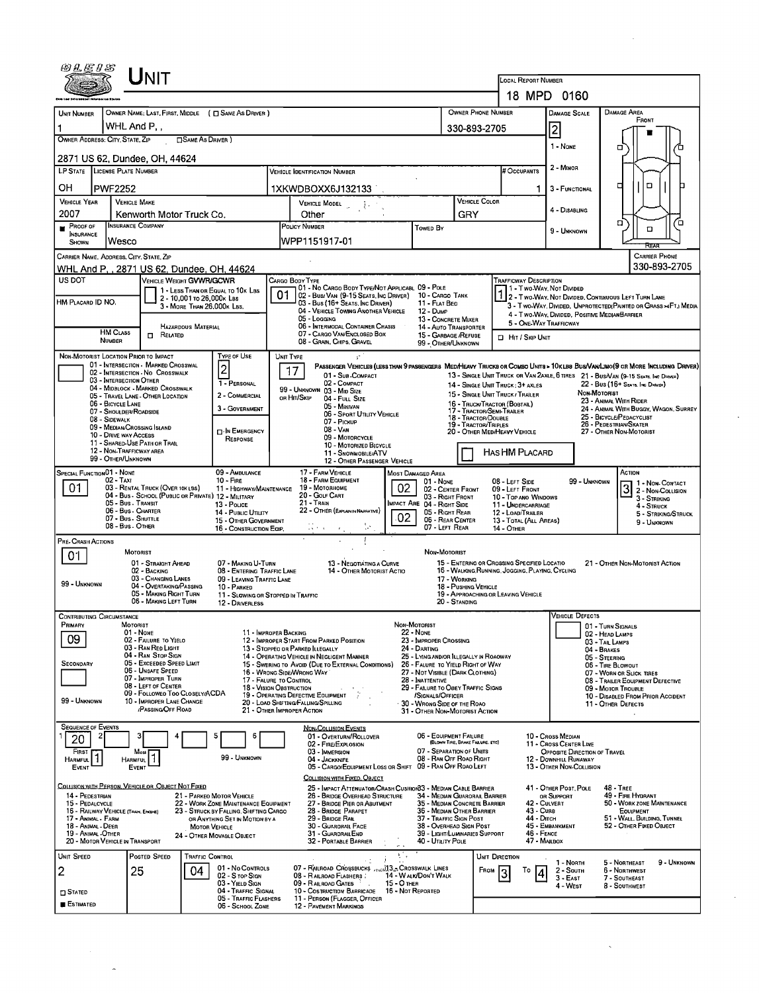|                                                                                                                                                                                                                                                                                                                                                                                                                                 |                                                              | UNIT                                                                  |                              |                                                                                |                                                                                                             |                                                                                                                                      |                                                        |                                                                                             |                                      |                                                                                                |                                                                                                   |                                                                             |                              |                                                                   |  |  |
|---------------------------------------------------------------------------------------------------------------------------------------------------------------------------------------------------------------------------------------------------------------------------------------------------------------------------------------------------------------------------------------------------------------------------------|--------------------------------------------------------------|-----------------------------------------------------------------------|------------------------------|--------------------------------------------------------------------------------|-------------------------------------------------------------------------------------------------------------|--------------------------------------------------------------------------------------------------------------------------------------|--------------------------------------------------------|---------------------------------------------------------------------------------------------|--------------------------------------|------------------------------------------------------------------------------------------------|---------------------------------------------------------------------------------------------------|-----------------------------------------------------------------------------|------------------------------|-------------------------------------------------------------------|--|--|
|                                                                                                                                                                                                                                                                                                                                                                                                                                 |                                                              |                                                                       |                              |                                                                                | <b>LOCAL REPORT NUMBER</b>                                                                                  | 18 MPD 0160                                                                                                                          |                                                        |                                                                                             |                                      |                                                                                                |                                                                                                   |                                                                             |                              |                                                                   |  |  |
| <b>UNIT NUMBER</b>                                                                                                                                                                                                                                                                                                                                                                                                              |                                                              |                                                                       |                              |                                                                                |                                                                                                             |                                                                                                                                      |                                                        |                                                                                             |                                      | OWNER PHONE NUMBER                                                                             |                                                                                                   |                                                                             |                              | <b>DAMAGE AREA</b>                                                |  |  |
| OWNER NAME: LAST, FIRST, MIDDLE ( $\square$ SAME AS DRIVER )<br>WHL And P,,                                                                                                                                                                                                                                                                                                                                                     |                                                              |                                                                       |                              |                                                                                |                                                                                                             |                                                                                                                                      |                                                        |                                                                                             |                                      | 330-893-2705                                                                                   |                                                                                                   | <b>DAMAGE SCALE</b><br>2                                                    |                              | FRONT                                                             |  |  |
| OWNER ADDRESS: CITY, STATE, ZIP<br><b>TISAME AS DRIVER 1</b>                                                                                                                                                                                                                                                                                                                                                                    |                                                              |                                                                       |                              |                                                                                |                                                                                                             |                                                                                                                                      |                                                        |                                                                                             |                                      |                                                                                                |                                                                                                   | 1 - None                                                                    |                              | о                                                                 |  |  |
|                                                                                                                                                                                                                                                                                                                                                                                                                                 | 2871 US 62, Dundee, OH, 44624                                |                                                                       |                              |                                                                                |                                                                                                             |                                                                                                                                      |                                                        |                                                                                             |                                      |                                                                                                |                                                                                                   |                                                                             |                              |                                                                   |  |  |
| LP STATE LICENSE PLATE NUMBER<br><b>VEHICLE IDENTIFICATION NUMBER</b>                                                                                                                                                                                                                                                                                                                                                           |                                                              |                                                                       |                              |                                                                                |                                                                                                             |                                                                                                                                      |                                                        |                                                                                             |                                      |                                                                                                | # Occupants                                                                                       | 2 - MINOR                                                                   |                              |                                                                   |  |  |
| OН                                                                                                                                                                                                                                                                                                                                                                                                                              | <b>PWF2252</b>                                               |                                                                       |                              |                                                                                |                                                                                                             | 1XKWDBOXX6J132133                                                                                                                    |                                                        |                                                                                             |                                      |                                                                                                | 1                                                                                                 | 3 - FUNCTIONAL                                                              |                              | $\Box$<br>▫                                                       |  |  |
| <b>VEHICLE YEAR</b><br>2007                                                                                                                                                                                                                                                                                                                                                                                                     | <b>VEHICLE MAKE</b>                                          | Kenworth Motor Truck Co.                                              |                              |                                                                                | $\begin{array}{ccc} \text{V}}_{\text{EHICLE MODEL [14]$<br>Other                                            |                                                                                                                                      |                                                        |                                                                                             |                                      | VEHICLE COLOR                                                                                  |                                                                                                   | 4 - DISABLING                                                               |                              |                                                                   |  |  |
| PROOF OF                                                                                                                                                                                                                                                                                                                                                                                                                        | <b>INSURANCE COMPANY</b>                                     |                                                                       |                              |                                                                                | <b>POLICY NUMBER</b><br>Towed By                                                                            |                                                                                                                                      |                                                        |                                                                                             | GRY                                  |                                                                                                |                                                                                                   | 9 - UNKNOWN                                                                 |                              | α<br>Έ<br>O                                                       |  |  |
| <b>INSURANCE</b><br>SHOWN                                                                                                                                                                                                                                                                                                                                                                                                       | Wesco                                                        |                                                                       |                              |                                                                                |                                                                                                             | WPP1151917-01                                                                                                                        |                                                        |                                                                                             |                                      |                                                                                                |                                                                                                   |                                                                             |                              |                                                                   |  |  |
| CARRIER NAME, ADDRESS, CITY, STATE, ZIP                                                                                                                                                                                                                                                                                                                                                                                         |                                                              |                                                                       |                              |                                                                                |                                                                                                             |                                                                                                                                      |                                                        |                                                                                             |                                      |                                                                                                |                                                                                                   |                                                                             |                              | <b>CARRIER PHONE</b><br>330-893-2705                              |  |  |
| WHL And P., 2871 US 62, Dundee, OH, 44624<br>US DOT                                                                                                                                                                                                                                                                                                                                                                             |                                                              | VEHICLE WEIGHT GVWR/GCWR                                              |                              |                                                                                | CARGO BODY TYPE                                                                                             |                                                                                                                                      |                                                        |                                                                                             |                                      |                                                                                                | <b>TRAFFICWAY DESCRIPTION</b>                                                                     |                                                                             |                              |                                                                   |  |  |
| HM PLACARD ID NO.                                                                                                                                                                                                                                                                                                                                                                                                               |                                                              |                                                                       | 2 - 10,001 To 26,000 k Las   | 1 - LESS THAN OR EQUAL TO 10K LBS                                              | 01                                                                                                          | 01 - No CARGO BODY TYPE/NOT APPLICABL 09 - POLE<br>02 - Busi Van (9-15 Seats, Inc Driver) 10 - Cargo Tank                            |                                                        |                                                                                             |                                      |                                                                                                |                                                                                                   | 1 - Two Way, Not Divided                                                    |                              | 2 - T WO-WAY, NOT DIVIDED, CONTINUOUS LEFT TURN LANE              |  |  |
|                                                                                                                                                                                                                                                                                                                                                                                                                                 |                                                              |                                                                       | 3 - MORE THAN 26,000K LBS.   |                                                                                |                                                                                                             | 03 - Bus (16+ Seats, Inc Driver)<br>04 - VEHICLE TOWING ANOTHER VEHICLE<br>05 - Logging                                              |                                                        | 11 - FLAT BED<br>12 - Dump                                                                  |                                      |                                                                                                |                                                                                                   | 4 - Two-Way, Divided, Positive Median Barrier                               |                              | 3 - Two-WAY, DIVIDED, UNPROTECTED (PAINTED OR GRASS >4FT.) MEDIA  |  |  |
|                                                                                                                                                                                                                                                                                                                                                                                                                                 | <b>HM CLASS</b>                                              | <b>n</b> Related                                                      | <b>HAZARDOUS MATERIAL</b>    |                                                                                |                                                                                                             | 06 - INTERMODAL CONTAINER CHASIS<br>07 - CARGO VAN/ENCLOSED BOX                                                                      |                                                        | 13 - CONCRETE MIXER<br>14 - AUTO TRANSPORTER<br>15 - GARBAGE / REFUSE                       |                                      |                                                                                                | 5 - ONE-WAY TRAFFICWAY                                                                            |                                                                             |                              |                                                                   |  |  |
|                                                                                                                                                                                                                                                                                                                                                                                                                                 | <b>NUMBER</b>                                                |                                                                       |                              |                                                                                |                                                                                                             | 08 - Grain, Chips, Gravel                                                                                                            |                                                        | 99 - OTHER/UNKNOWN                                                                          |                                      |                                                                                                | <b>D</b> HIT / SKIP UNIT                                                                          |                                                                             |                              |                                                                   |  |  |
| NON-MOTORIST LOCATION PRIOR TO IMPACT                                                                                                                                                                                                                                                                                                                                                                                           |                                                              | 01 - INTERSECTION - MARKED CROSSWAL                                   |                              | TYPE OF USE                                                                    | UNIT TYPE                                                                                                   | ÷.                                                                                                                                   |                                                        |                                                                                             |                                      |                                                                                                |                                                                                                   |                                                                             |                              |                                                                   |  |  |
| PASSENGER VEHICLES (LESS THAN 9 PASSENGERS MED/HEAVY TRUCKS OR COMBO UNITS > 10KLBS BUS/VAN/LIMO(9 OR MORE INCLUDING DRIVER)<br>$\vert$ 2<br>17<br>02 - INTERSECTION - NO CROSSWALK<br>01 - Sub-COMPACT<br>13 - SINGLE UNIT TRUCK OR VAN 2AXLE, 6 TRES 21 - BUS/VAN (9-15 SEATS. INC DRIVER)<br>03 - INTERSECTION OTHER<br>1 - PERSONAL<br>02 - COMPACT<br>22 - Bus (16+ Seats, Inc Draver)<br>14 - SINGLE UNIT TRUCK: 3+ AXLES |                                                              |                                                                       |                              |                                                                                |                                                                                                             |                                                                                                                                      |                                                        |                                                                                             |                                      |                                                                                                |                                                                                                   |                                                                             |                              |                                                                   |  |  |
|                                                                                                                                                                                                                                                                                                                                                                                                                                 | 06 - BICYCLE LANE                                            | 04 - MIDBLOCK - MARKED CROSSWALK<br>05 - TRAVEL LANE - OTHER LOCATION |                              | 2 - COMMERCIAL                                                                 | ов Ніт/Sкір                                                                                                 | 99 - UNKNOWN 03 - MID SIZE<br>04 - FULL SIZE                                                                                         |                                                        |                                                                                             |                                      | 15 - SINGLE UNIT TRUCK / TRAILER                                                               |                                                                                                   | NON-MOTORIST                                                                | 23 - ANIMAL WITH RIDER       |                                                                   |  |  |
|                                                                                                                                                                                                                                                                                                                                                                                                                                 | 07 - SHOULDER/ROADSIDE<br>08 - SIDEWALK                      |                                                                       |                              | 3 - GOVERNMENT                                                                 |                                                                                                             | 05 - Minivan<br>06 - SPORT UTILITY VEHICLE<br>07 - PICKUP                                                                            |                                                        |                                                                                             |                                      | 17 - TRACTOR/SEMI-TRAILER<br>18 - TRACTOR/DOUBLE                                               | 16 - TRUCK/TRACTOR (BOBTAIL)<br>24 - ANIMAL WITH BUGGY, WAGON, SURREY<br>25 - BICYCLE/PEDACYCLIST |                                                                             |                              |                                                                   |  |  |
|                                                                                                                                                                                                                                                                                                                                                                                                                                 | 10 - DRIVE WAY ACCESS                                        | 09 - MEDIAN CROSSING ISLAND                                           |                              | <b>D</b> -IN EMERGENCY                                                         |                                                                                                             | 08 - VAN<br>09 - MOTORCYCLE                                                                                                          |                                                        | 19 - Tractor/Triples<br>20 - OTHER MED/HEAVY VEHICLE                                        |                                      | 26 - PEDESTRIAN/SKATER<br>27 - OTHER NON-MOTORIST                                              |                                                                                                   |                                                                             |                              |                                                                   |  |  |
| RESPONSE<br>11 - SHARED-USE PATH OR TRAIL<br>10 - MOTORIZED BICYCLE<br>12 - NON-TRAFFICWAY AREA<br><b>HASHM PLACARD</b><br>11 - SNOWMOBILE/ATV                                                                                                                                                                                                                                                                                  |                                                              |                                                                       |                              |                                                                                |                                                                                                             |                                                                                                                                      |                                                        |                                                                                             |                                      |                                                                                                |                                                                                                   |                                                                             |                              |                                                                   |  |  |
| SPECIAL FUNCTION 01 - NONE                                                                                                                                                                                                                                                                                                                                                                                                      | 99 - OTHER/UNKNOWN                                           |                                                                       |                              | 09 - AMBULANCE                                                                 |                                                                                                             | 17 - FARM VEHICLE                                                                                                                    | 12 - OTHER PASSENGER VEHICLE                           | <b>MOST DAMAGED AREA</b>                                                                    |                                      |                                                                                                |                                                                                                   |                                                                             |                              | ACTION                                                            |  |  |
| 02 - TAXI<br>10 - FIRE<br>01<br>03 - RENTAL TRUCK (OVER 10K LBS)                                                                                                                                                                                                                                                                                                                                                                |                                                              |                                                                       |                              |                                                                                | 18 - FARM EQUIPMENT<br>01 - NONE<br>02<br>19 - Мотояноме<br>11 - HIGHWAY/MAINTENANCE<br>02 - CENTER FRONT   |                                                                                                                                      |                                                        |                                                                                             |                                      |                                                                                                | 08 - LEFT SIDE<br>09 - LEFT FRONT                                                                 |                                                                             | 99 - UNKNOWN                 | 1 1 - Non-Contact<br>$\overline{\mathbf{3}}$<br>2 - Non-Collision |  |  |
|                                                                                                                                                                                                                                                                                                                                                                                                                                 | 05 - Bus - Transit                                           | 04 - Bus - SCHOOL (PUBLIC OR PRIVATE) 12 - MILITARY                   |                              | 13 - Pouce                                                                     |                                                                                                             | 20 - GOLF CART<br>03 - RIGHT FRONT<br>$21 -$ Train<br>MPACT ARE 04 - RIGHT SIDE<br>11 - UNDERCARRIAGE                                |                                                        |                                                                                             |                                      |                                                                                                |                                                                                                   | 10 - Top and Windows                                                        |                              | 3 - STRIKING<br>4 - STRUCK                                        |  |  |
|                                                                                                                                                                                                                                                                                                                                                                                                                                 | 06 - Bus - Charter<br>07 - Bus - SHUTTLE<br>08 - Bus - Other |                                                                       |                              | 14 - PUBLIC UTILITY<br>15 - OTHER GOVERNMENT                                   | 22 - OTHER (EXPLANIN NARRATIVE)<br>05 - Right Rear<br>02 <sub>1</sub><br>06 - REAR CENTER<br>07 - LEFT REAR |                                                                                                                                      |                                                        |                                                                                             |                                      | 12 - LOAD/TRAILER                                                                              | 13 - TOTAL (ALL AREAS)                                                                            |                                                                             |                              | 5 - STRIKING/STRUCK<br>9 - Unknown                                |  |  |
| <b>PRE-CRASH ACTIONS</b>                                                                                                                                                                                                                                                                                                                                                                                                        |                                                              |                                                                       |                              | 16 - CONSTRUCTION EQIP,                                                        |                                                                                                             |                                                                                                                                      |                                                        |                                                                                             |                                      | <b>14 - OTHER</b>                                                                              |                                                                                                   |                                                                             |                              |                                                                   |  |  |
| 01                                                                                                                                                                                                                                                                                                                                                                                                                              |                                                              | <b>MOTORIST</b>                                                       |                              |                                                                                |                                                                                                             |                                                                                                                                      |                                                        | NON-MOTORIST                                                                                |                                      |                                                                                                |                                                                                                   |                                                                             |                              |                                                                   |  |  |
|                                                                                                                                                                                                                                                                                                                                                                                                                                 |                                                              | 01 - STRAIGHT AHEAD<br>02 - BACKING<br>03 - CHANGING LANES            |                              | 07 - MAKING U-TURN<br>08 - ENTERING TRAFFIC LANE                               |                                                                                                             | 13 - NEGOTIÁTING A CURVE                                                                                                             | 14 - OTHER MOTORIST ACTIO                              |                                                                                             |                                      | 15 - ENTERING OR CROSSING SPECIFIED LOCATIO<br>16 - WALKING RUNNING, JOGGING, PLAYING, CYCLING |                                                                                                   |                                                                             |                              | 21 - OTHER NON-MOTORIST ACTION                                    |  |  |
| 99 - UNKNOWN                                                                                                                                                                                                                                                                                                                                                                                                                    |                                                              | 04 - OVERTAKING/PASSING<br>05 - MAKING RIGHT TURN                     |                              | 09 - LEAVING TRAFFIC LANE<br>10 - PARKED<br>11 - SLOWING OR STOPPED IN TRAFFIC |                                                                                                             |                                                                                                                                      |                                                        |                                                                                             | 17 - WORKING<br>18 - Pushing Vehicle | 19 - APPROACHING OR LEAVING VEHICLE                                                            |                                                                                                   |                                                                             |                              |                                                                   |  |  |
|                                                                                                                                                                                                                                                                                                                                                                                                                                 |                                                              | 06 - MAKING LEFT TURN                                                 |                              | 12 - DRIVERLESS                                                                |                                                                                                             |                                                                                                                                      |                                                        |                                                                                             | 20 - STANDING                        |                                                                                                |                                                                                                   |                                                                             |                              |                                                                   |  |  |
| <b>CONTRIBUTING CIRCUMSTANCE</b><br>PRIMARY                                                                                                                                                                                                                                                                                                                                                                                     | MOTORIST                                                     |                                                                       |                              |                                                                                |                                                                                                             |                                                                                                                                      |                                                        | Non-Motorist                                                                                |                                      |                                                                                                |                                                                                                   | <b>VEHICLE DEFECTS</b>                                                      | 01 - TURN SIGNALS            |                                                                   |  |  |
| 09                                                                                                                                                                                                                                                                                                                                                                                                                              |                                                              | 01 - Nowe<br>02 - FAILURE TO YIELO                                    |                              |                                                                                | 11 - IMPROPER BACKING                                                                                       | 12 - IMPROPER START FROM PARKED POSITION                                                                                             |                                                        | <b>22 - None</b><br>23 - IMPROPER CROSSING                                                  |                                      | 02 - HEAD LAMPS<br>03 - TAIL LAMPS                                                             |                                                                                                   |                                                                             |                              |                                                                   |  |  |
| <b>SECONDARY</b>                                                                                                                                                                                                                                                                                                                                                                                                                |                                                              | 03 - RAN REO LIGHT<br>04 - RAN STOP SIGN<br>05 - Exceeded Speed Limit |                              |                                                                                |                                                                                                             | 13 - Stoppeo or PARKED ILLEGALLY<br>14 - OPERATING VEHICLE IN NEGLIGENT MANNER<br>15 - Swering to Avoid (Due to External Conditions) |                                                        | 24 - DARTING<br>25 - LYING AND/OR ILLEGALLY IN ROAOWAY<br>26 - FALURE TO YIELD RIGHT OF WAY |                                      |                                                                                                |                                                                                                   |                                                                             | 04 - BRAKES<br>05 - STEERING |                                                                   |  |  |
|                                                                                                                                                                                                                                                                                                                                                                                                                                 |                                                              | 06 - Unsafe Speed<br>07 - IMPROPER TURN                               |                              |                                                                                | <b>17 - FALURE TO CONTROL</b>                                                                               | 16 - Wrong Side/Wrong Way                                                                                                            |                                                        | 27 - NOT VISIBLE (DARK CLOTHING)<br>28 - Inattentive                                        |                                      |                                                                                                |                                                                                                   |                                                                             | 06 - TIRE BLOWOUT            | 07 - WORN OR SLICK TIRES<br>08 - TRAILER EQUIPMENT DEFECTIVE      |  |  |
|                                                                                                                                                                                                                                                                                                                                                                                                                                 |                                                              | 08 - LEFT OF CENTER<br>09 - FOLLOWEO TOO CLOSELY/ACDA                 |                              |                                                                                | 18 - VISION OBSTRUCTION                                                                                     | 19 - OPERATING DEFECTIVE EQUIPMENT                                                                                                   | 29 - FAILURE TO OBEY TRAFFIC SIGNS<br>/SIGNALS/OFFICER |                                                                                             |                                      |                                                                                                |                                                                                                   |                                                                             |                              | 09 - MOTOR TROUBLE<br>10 - DISABLED FROM PRIOR ACCIDENT           |  |  |
| 99 - UNKNOWN                                                                                                                                                                                                                                                                                                                                                                                                                    |                                                              | 10 - IMPROPER LANE CHANGE<br>/PASSING/OFF ROAD                        |                              |                                                                                | 21 - Отнев Імрворев Астюм                                                                                   | 20 - LOAD SHIFTING/FALLING/SPILLING                                                                                                  |                                                        | 30 - WRONG SIDE OF THE ROAO<br>31 - OTHER NON-MOTORIST ACTION                               |                                      |                                                                                                |                                                                                                   |                                                                             |                              | 11 - OTHER DEFECTS                                                |  |  |
| <b>SEQUENCE OF EVENTS</b>                                                                                                                                                                                                                                                                                                                                                                                                       |                                                              |                                                                       |                              |                                                                                |                                                                                                             | <b>NON-COLLISION EVENTS</b>                                                                                                          |                                                        |                                                                                             |                                      |                                                                                                |                                                                                                   |                                                                             |                              |                                                                   |  |  |
| 2<br>20<br>First                                                                                                                                                                                                                                                                                                                                                                                                                |                                                              | з<br>Most                                                             |                              | 5<br>6                                                                         |                                                                                                             | 01 - OVERTURN/ROLLOVER<br>02 - FIRE/EXPLOSION<br>03 - IMMERSION                                                                      |                                                        | 06 - EQUIPMENT FAILURE<br>07 - SEPARATION OF UNITS                                          | (BLOWN TIRE, BRAKE FAILURE. ETC)     |                                                                                                |                                                                                                   | 10 - Cross Median<br>11 - Cross Center Line<br>OPPOSITE DIRECTION OF TRAVEL |                              |                                                                   |  |  |
| <b>HARMFUL</b><br>EVENT                                                                                                                                                                                                                                                                                                                                                                                                         | <b>HARMFUL</b>                                               | EVENT                                                                 |                              | 99 - UNKNOWN                                                                   |                                                                                                             | 04 - JACKKNIFE<br>05 - CARGO/EQUIPMENT LOSS OR SHIFT 09 - RAN OFF ROAO LEFT                                                          |                                                        | 08 - RAN OFF ROAD RIGHT                                                                     |                                      |                                                                                                |                                                                                                   | 12 - DOWNHILL RUNAWAY<br>13 - OTHER NON-COLLISION                           |                              |                                                                   |  |  |
| COLLISION WITH PERSON, VEHICLE OR OBJECT NOT FIXED                                                                                                                                                                                                                                                                                                                                                                              |                                                              |                                                                       |                              |                                                                                |                                                                                                             | <b>COLLISION WITH FIXED, OBJECT</b>                                                                                                  |                                                        |                                                                                             |                                      |                                                                                                |                                                                                                   |                                                                             |                              |                                                                   |  |  |
| 14 - PEDESTRIAN<br>15 - PEDALCYCLE                                                                                                                                                                                                                                                                                                                                                                                              |                                                              |                                                                       |                              | 21 - PARKEO MOTOR VEHICLE<br>22 - WORK ZONE MAINTENANCE EQUIPMENT              |                                                                                                             | 25 - IMPACT ATTENUATOR/CRASH CUSHION33 - MEDIAN CABLE BARRIER<br>26 - BRIDGE OVERHEAD STRUCTURE<br>27 - BRIDGE PIER OR ABUTMENT      |                                                        | 34 - MEDIAN GUARORAIL BARRIER<br>35 - MEDIAN CONCRETE BARRIER                               |                                      |                                                                                                | 42 - CULVERT                                                                                      | 41 - OTHER POST, POLE<br>OR SUPPORT                                         |                              | $48 -$ TREE<br>49 - FIRE HYDRANT<br>50 - WORK ZONE MAINTENANCE    |  |  |
| 16 - RAILWAY VEHICLE (TRAIN, ENGINE)<br>17 - Animal - Farm                                                                                                                                                                                                                                                                                                                                                                      |                                                              |                                                                       |                              | 23 - STRUCK BY FALLING, SHIFTING CARGO<br>OR ANYTHING SET IN MOTION BY A       |                                                                                                             | 28 - BRIDGE PARAPET<br>29 - BRIDGE RAIL                                                                                              |                                                        | 36 - MEDIAN OTHER BARRIER<br>37 - TRAFFIC SIGN POST                                         |                                      |                                                                                                | <b>43 - CURB</b><br>44 - Олтсн                                                                    |                                                                             |                              | EQUIPMENT<br>51 - WALL, BUILDING, TUNNEL                          |  |  |
| 18 - Animal - Deer<br>19 - Animal Other                                                                                                                                                                                                                                                                                                                                                                                         |                                                              |                                                                       | <b>MOTOR VEHICLE</b>         | 24 - OTHER MOVABLE OBJECT                                                      |                                                                                                             | 30 - GUARORAIL FACE<br>31 - GUARDRAILEND                                                                                             |                                                        | 38 - Overhead Sign Post<br>39 - Light/Luminaries Support                                    |                                      |                                                                                                | 46 - FENCE                                                                                        | 45 - Емванкмент                                                             |                              | 52 - OTHER FIXED OBJECT                                           |  |  |
| 20 - MOTOR VEHICLE IN TRANSPORT<br>UNIT SPEED                                                                                                                                                                                                                                                                                                                                                                                   |                                                              | Posted Speed                                                          |                              |                                                                                |                                                                                                             | 32 - PORTABLE BARRIER                                                                                                                | $\sim$ $\sim$<br>Ala                                   | 40 - Utility Pole                                                                           |                                      |                                                                                                | 47 - MAILBOX                                                                                      |                                                                             |                              |                                                                   |  |  |
| 2                                                                                                                                                                                                                                                                                                                                                                                                                               |                                                              | 25                                                                    | <b>TRAFFIC CONTROL</b><br>04 | 01 - No CONTROLS                                                               |                                                                                                             | O7 - RAILROAD CROSSBUCKS ANGELES CROSSWALK LINES                                                                                     |                                                        |                                                                                             |                                      | UNIT DIRECTION<br>From                                                                         | Т٥                                                                                                | 1 - North<br>2 - South                                                      |                              | 5 - NORTHEAST<br>9 - UNKNOWN<br>6 - NORTHWEST                     |  |  |
|                                                                                                                                                                                                                                                                                                                                                                                                                                 |                                                              |                                                                       |                              | 02 - S TOP SIGN<br>03 - YIELD SIGN<br>04 - TRAFFIC SIGNAL                      |                                                                                                             | 08 - RAILROAD FLASHERS<br>09 - RAILROAD GATES<br>10 - COSTRUCTION BARRICADE 16 - NOT REPORTED                                        | 15 - O THER                                            | 14 - W ALK/DON'T WALK                                                                       |                                      |                                                                                                |                                                                                                   | $3 - E$ AST<br>4 - West                                                     |                              | 7 - SOUTHEAST<br>8 - SOUTHWEST                                    |  |  |
| $\square$ Stated<br><b>ESTIMATED</b>                                                                                                                                                                                                                                                                                                                                                                                            |                                                              |                                                                       |                              | 05 - TRAFFIC FLASHERS<br>06 - SCHOOL ZONE                                      |                                                                                                             | 11 - PERSON (FLAGGER, OFFICER<br><b>12 - PAVEMENT MARKINGS</b>                                                                       |                                                        |                                                                                             |                                      |                                                                                                |                                                                                                   |                                                                             |                              |                                                                   |  |  |
|                                                                                                                                                                                                                                                                                                                                                                                                                                 |                                                              |                                                                       |                              |                                                                                |                                                                                                             |                                                                                                                                      |                                                        |                                                                                             |                                      |                                                                                                |                                                                                                   |                                                                             |                              |                                                                   |  |  |

 $\lambda$ 

 $\hat{\mathcal{L}}$ 

 $\hat{\mathcal{C}}$ 

 $\mathcal{L}_{\mathcal{A}}$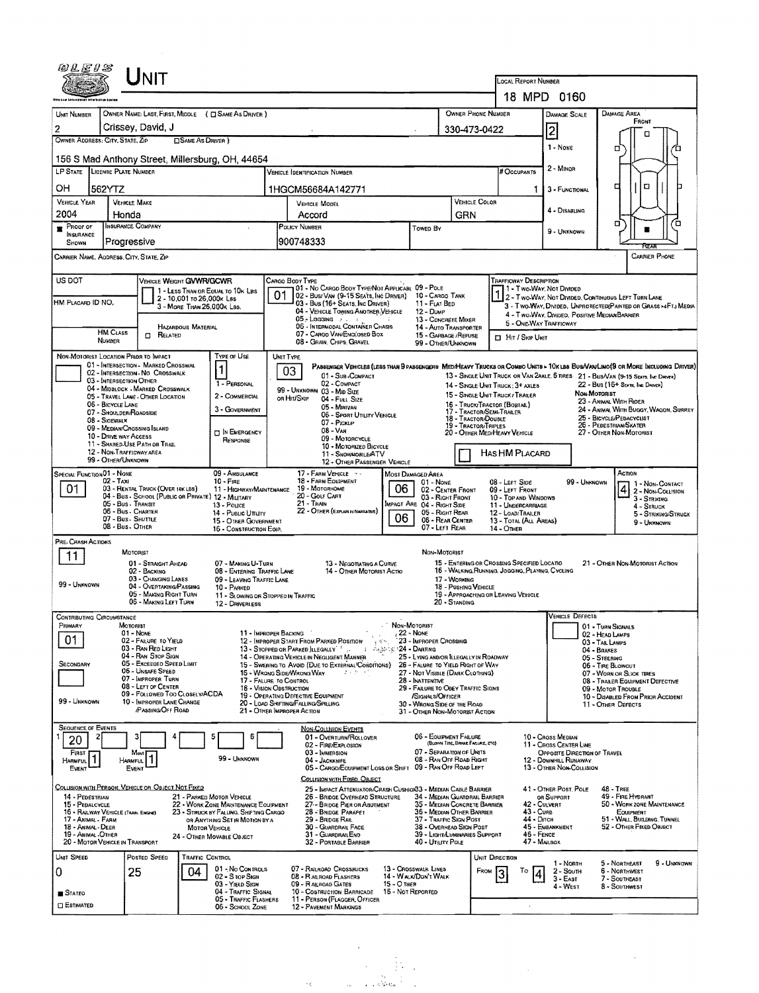| 网儿医#5                                                                                                |                                                                                                                            |                                                                                         |                            |                                                                                |                                                                                                                                          |                                                                                                                                                       |                                                                                       |                |                                                           |                                                                                                |                                                                                                                                                                                                                                                                                 |                                                                                 |                                                   |                                                                               |                     |  |  |
|------------------------------------------------------------------------------------------------------|----------------------------------------------------------------------------------------------------------------------------|-----------------------------------------------------------------------------------------|----------------------------|--------------------------------------------------------------------------------|------------------------------------------------------------------------------------------------------------------------------------------|-------------------------------------------------------------------------------------------------------------------------------------------------------|---------------------------------------------------------------------------------------|----------------|-----------------------------------------------------------|------------------------------------------------------------------------------------------------|---------------------------------------------------------------------------------------------------------------------------------------------------------------------------------------------------------------------------------------------------------------------------------|---------------------------------------------------------------------------------|---------------------------------------------------|-------------------------------------------------------------------------------|---------------------|--|--|
|                                                                                                      |                                                                                                                            | Unit                                                                                    |                            |                                                                                |                                                                                                                                          |                                                                                                                                                       |                                                                                       |                |                                                           |                                                                                                | LOCAL REPORT NUMBER                                                                                                                                                                                                                                                             |                                                                                 |                                                   |                                                                               |                     |  |  |
|                                                                                                      |                                                                                                                            |                                                                                         |                            |                                                                                |                                                                                                                                          |                                                                                                                                                       |                                                                                       |                |                                                           |                                                                                                |                                                                                                                                                                                                                                                                                 | 18 MPD 0160                                                                     |                                                   |                                                                               |                     |  |  |
| UNIT NUMBER                                                                                          |                                                                                                                            |                                                                                         |                            | OWNER NAME: LAST, FIRST, MIDDLE ( C SAME AS DRIVER )                           |                                                                                                                                          |                                                                                                                                                       |                                                                                       |                |                                                           | OWNER PHONE NUMBER                                                                             |                                                                                                                                                                                                                                                                                 | <b>DAMAGE SCALE</b>                                                             |                                                   | <b>DAMAGE AREA</b><br>FRONT                                                   |                     |  |  |
| $\overline{2}$                                                                                       | Crissey, David, J<br>330-473-0422<br>2<br>а<br>OWNER ADDRESS: CITY, STATE, ZIP<br><b>CISAME AS DRIVER</b><br>1 - None<br>σ |                                                                                         |                            |                                                                                |                                                                                                                                          |                                                                                                                                                       |                                                                                       |                |                                                           |                                                                                                |                                                                                                                                                                                                                                                                                 |                                                                                 |                                                   | Έ                                                                             |                     |  |  |
|                                                                                                      |                                                                                                                            |                                                                                         |                            | 156 S Mad Anthony Street, Millersburg, OH, 44654                               |                                                                                                                                          |                                                                                                                                                       |                                                                                       |                |                                                           | # Occupants                                                                                    |                                                                                                                                                                                                                                                                                 | 2 - Minor                                                                       |                                                   |                                                                               |                     |  |  |
|                                                                                                      | LP STATE LICENSE PLATE NUMBER<br><b>VEHICLE IDENTIFICATION NUMBER</b>                                                      |                                                                                         |                            |                                                                                |                                                                                                                                          |                                                                                                                                                       |                                                                                       |                |                                                           |                                                                                                |                                                                                                                                                                                                                                                                                 |                                                                                 |                                                   |                                                                               |                     |  |  |
| OН<br><b>VEHICLE YEAR</b>                                                                            | 562YTZ<br><b>VEHICLE MAKE</b>                                                                                              |                                                                                         |                            |                                                                                |                                                                                                                                          | 1HGCM56684A142771                                                                                                                                     |                                                                                       |                | VEHICLE COLOR                                             | 1                                                                                              | 3 - FUNCTIONAL                                                                                                                                                                                                                                                                  |                                                                                 | O<br>о                                            |                                                                               |                     |  |  |
| 2004                                                                                                 | Honda                                                                                                                      |                                                                                         |                            |                                                                                |                                                                                                                                          | VEHICLE MODEL<br>Accord                                                                                                                               |                                                                                       |                | GRN                                                       |                                                                                                |                                                                                                                                                                                                                                                                                 | 4 - DISABLING                                                                   |                                                   |                                                                               |                     |  |  |
| $P_{\text{ROOF OF}}$<br><b>INSURANCE</b>                                                             | <b>INSURANCE COMPANY</b>                                                                                                   |                                                                                         |                            |                                                                                |                                                                                                                                          | <b>POLICY NUMBER</b>                                                                                                                                  | TOWED BY                                                                              |                |                                                           |                                                                                                |                                                                                                                                                                                                                                                                                 | 9 - UNKNOWN                                                                     |                                                   | α                                                                             | Έ.                  |  |  |
| Progressive<br>900748333<br>SHOWN<br><b>CARRIER PHONE</b><br>CARRIER NAME, ADDRESS, CITY, STATE, ZIP |                                                                                                                            |                                                                                         |                            |                                                                                |                                                                                                                                          |                                                                                                                                                       |                                                                                       |                |                                                           |                                                                                                |                                                                                                                                                                                                                                                                                 |                                                                                 |                                                   |                                                                               |                     |  |  |
| US DOT                                                                                               |                                                                                                                            | VEHICLE WEIGHT GWWR/GCWR                                                                |                            |                                                                                |                                                                                                                                          | CARGO BODY TYPE                                                                                                                                       |                                                                                       |                |                                                           | Trafficway Description                                                                         |                                                                                                                                                                                                                                                                                 |                                                                                 |                                                   |                                                                               |                     |  |  |
|                                                                                                      |                                                                                                                            |                                                                                         | 2 - 10,001 To 26,000x Les  | 1 - LESS THAN OR EQUAL TO 10K LBS                                              | 01                                                                                                                                       | 01 - No CARGO BODY TYPE/NOT APPLICABL 09 - POLE<br>02 - Bus/Van (9-15 Seats, Inc Driver)                                                              | 10 - CARGO TANK                                                                       |                |                                                           |                                                                                                |                                                                                                                                                                                                                                                                                 | 1 - Two-Way, Not Divided                                                        |                                                   | 2 - Two-Way, Not Divided, Continuous LEFT TURN LANE                           |                     |  |  |
| HM PLACARD ID NO.                                                                                    |                                                                                                                            |                                                                                         | 3 - MORE THAN 26.000K LBS. |                                                                                |                                                                                                                                          | 03 - Bus (16+ Seats, Inc Driver)<br>04 - VEHICLE TOWING ANOTHER VEHICLE<br>$05 -$ Logging $\cdot$ .                                                   | 11 - FLAT BED<br>12 - DUMP                                                            |                |                                                           |                                                                                                | 3 - Two-WAY, DIVIDED, UNPROTECTED (PAINTED OR GRASS >4FT.) MEDIA<br>4 - Two-Way, DIVIDEO, POSITIVE MEDIANBARRIER                                                                                                                                                                |                                                                                 |                                                   |                                                                               |                     |  |  |
|                                                                                                      | <b>HM CLASS</b>                                                                                                            | C RELATED                                                                               | HAZARDOUS MATERIAL         |                                                                                | 13 - CONCRETE MIXER<br>06 - INTERMODAL CONTAINER CHASIS<br>14 - Auto Transporter<br>07 - CARGO VAN/ENCLOSED BOX<br>15 - GARBAGE / REFUSE |                                                                                                                                                       |                                                                                       |                |                                                           |                                                                                                | 5 - ONE-WAY TRAFFICWAY<br>Hr / Skip Unit                                                                                                                                                                                                                                        |                                                                                 |                                                   |                                                                               |                     |  |  |
| NON-MOTORIST LOCATION PRIOR TO IMPACT                                                                | <b>NUMBER</b>                                                                                                              |                                                                                         |                            | TYPE OF USE                                                                    |                                                                                                                                          | 08 - GRAIN, CHIPS, GRAVEL<br>UNIT TYPE                                                                                                                |                                                                                       |                | 99 - OTHER/UNKNOWN                                        |                                                                                                |                                                                                                                                                                                                                                                                                 |                                                                                 |                                                   |                                                                               |                     |  |  |
|                                                                                                      |                                                                                                                            | 01 - INTERSECTION - MARKED CROSSWAL<br>02 - INTERSECTION - NO CROSSWALK                 |                            | 1                                                                              |                                                                                                                                          | PASSENGER VEHICLES (LESS THAN 9 PASSENGERS MEDIMEAVY TRUCKS OR COMBO UNITS > 10KLBS BUS/VAWLIMO(9 OR MORE INCLUDING DRIVER)<br>03<br>01 - Sub-Compact |                                                                                       |                |                                                           |                                                                                                |                                                                                                                                                                                                                                                                                 |                                                                                 |                                                   |                                                                               |                     |  |  |
|                                                                                                      | 03 - INTERSECTION OTHER                                                                                                    | 04 - MIDBLOCK - MARKED CROSSWALK                                                        |                            | 1 - PERSONAL                                                                   |                                                                                                                                          | 02 - COMPACT<br>99 - UNKNOWN 03 - MID SIZE                                                                                                            |                                                                                       |                |                                                           |                                                                                                | 13 - SINGLE UNIT TRUCK OR VAN 2AXLE, 6 TRES 21 - BUS/VAN (9-15 SEATS, INC DRIVER)<br>22 - Bus (16+ State, Inc Damon)<br>14 - SINGLE UNIT TRUCK: 3+ AXLES<br>NON-MOTORIST<br>15 - SINGLE UNIT TRUCK / TRAILER<br>23 - ANIMAL WITH RIDER<br>24 - ANIMAL WITH BUGGY, WAGON, SURREY |                                                                                 |                                                   |                                                                               |                     |  |  |
|                                                                                                      | 06 - BICYCLE LANE<br>07 - Shoulder/Roadside                                                                                | 05 - TRAVEL LANE - OTHER LOCATION                                                       |                            | 2 - COMMERCIAL<br>3 - GOVERNMENT                                               |                                                                                                                                          | OR HIT/SKIP<br>04 - FULL SIZE<br>05 - Minivan                                                                                                         |                                                                                       |                |                                                           | 16 - TRUCK/TRACTOR (BOBTAIL)<br>17 - TRACTOR/SEMI-TRAILER                                      |                                                                                                                                                                                                                                                                                 |                                                                                 |                                                   |                                                                               |                     |  |  |
|                                                                                                      | 08 - SIOEWALK                                                                                                              | 09 - MEDIAN/CROSSING ISLAND                                                             |                            |                                                                                | 06 - Sport Utility Vehicle<br>18 - TRACTOR/DOUBLE<br>07 - PICKUP<br>19 - TRACTOR/TRIPLES                                                 |                                                                                                                                                       |                                                                                       |                |                                                           |                                                                                                | 25 - BICYCLE/PEDACYCLIST<br>26 - PEDESTRIAN/SKATER<br>27 - OTHER NON-MOTORIST                                                                                                                                                                                                   |                                                                                 |                                                   |                                                                               |                     |  |  |
|                                                                                                      | 10 - DRIVE WAY ACCESS                                                                                                      | 11 - SHARED-USE PATH OR TRAIL                                                           |                            | <b>T IN EMERGENCY</b><br>RESPONSE                                              |                                                                                                                                          | 08 - Van<br>09 - MOTORCYCLE<br>10 - MOTORIZED BICYCLE                                                                                                 |                                                                                       |                |                                                           | 20 - OTHER MEDIHEAVY VEHICLE                                                                   |                                                                                                                                                                                                                                                                                 |                                                                                 |                                                   |                                                                               |                     |  |  |
|                                                                                                      | 12 - Non-Trafficway area<br>99 - OTHER/UNKNOWN                                                                             |                                                                                         |                            |                                                                                |                                                                                                                                          | 11 - SNOWMOBILE/ATV<br>12 - OTHER PASSENGER VEHICLE                                                                                                   |                                                                                       |                |                                                           | HAS HM PLACARD                                                                                 |                                                                                                                                                                                                                                                                                 |                                                                                 |                                                   |                                                                               |                     |  |  |
| <b>SPECIAL FUNCTION 01 - NONE</b>                                                                    | $02 - Tayi$                                                                                                                |                                                                                         |                            | 09 - AMBULANCE<br>$10 -$ Fire                                                  |                                                                                                                                          | 17 - FARM VEHICLE<br>18 - FARM EQUIPMENT                                                                                                              | MOST DAMAGED AREA                                                                     | 01 - NONE      |                                                           | 08 - LEFT SIDE                                                                                 |                                                                                                                                                                                                                                                                                 | 99 - UNKNOWN                                                                    |                                                   | ACTION<br>1 - Non-Contact                                                     |                     |  |  |
| 01                                                                                                   | 05 - Bus - Transit                                                                                                         | 03 - RENTAL TRUCK (OVER 10K LBS)<br>04 - Bus - School (Public or Private) 12 - Military |                            | 11 - HIGHWAY/MAINTENANCE                                                       |                                                                                                                                          | 19 - Мотокноме<br>20 - Golf Cart<br>21 - Thain                                                                                                        | 06                                                                                    |                | 02 - CENTER FRONT<br>03 - RIGHT FRONT                     | 09 - LEFT FRONT<br>10 - TOP AND WINDOWS                                                        |                                                                                                                                                                                                                                                                                 |                                                                                 |                                                   | $42 - Non-Corusion$<br>3 - STRIKING                                           |                     |  |  |
|                                                                                                      | 06 - Bus - Charter<br>07 - Bus - SHUTTLE                                                                                   |                                                                                         |                            | 13 - Pouce<br>14 - Pusuc Unury<br>15 - OTHER GOVERNMENT                        |                                                                                                                                          | 22 - OTHER (EXPLAIN IN NARRATIVE)                                                                                                                     | MPACT ARE 04 - RIGHT SIDE<br>06                                                       |                | 05 - Right Rear<br>06 - REAR CENTER                       | 11 - UNDERCARRIAGE<br>12 - LOAD/TRAILER<br>13 - TOTAL (ALL AREAS)                              |                                                                                                                                                                                                                                                                                 |                                                                                 |                                                   | 4 - Struck                                                                    | 5 - STRIKING/STRUCK |  |  |
| PRE- CRASH ACTIONS                                                                                   | 08 - Bus. OTHER                                                                                                            |                                                                                         |                            | 16 - CONSTRUCTION EQIP.                                                        |                                                                                                                                          |                                                                                                                                                       |                                                                                       | 07 - Left Rear |                                                           | 14 - OTHER                                                                                     |                                                                                                                                                                                                                                                                                 |                                                                                 |                                                   | 9 - UNKNOWN                                                                   |                     |  |  |
| 11                                                                                                   |                                                                                                                            | MOTORIST                                                                                |                            |                                                                                |                                                                                                                                          |                                                                                                                                                       |                                                                                       | Non-Motorist   |                                                           |                                                                                                |                                                                                                                                                                                                                                                                                 |                                                                                 |                                                   |                                                                               |                     |  |  |
|                                                                                                      |                                                                                                                            | 01 - STRAIGHT AHEAD<br>02 - BACKING                                                     |                            | 07 - MAKING U-TURN<br>08 - ENTERING TRAFFIC LANE                               |                                                                                                                                          | 13 - Negotiating a Curve<br>14 - OTHER MOTORIST ACTIO                                                                                                 |                                                                                       |                |                                                           | 15 - ENTERING OR CROSSING SPECIFIED LOCATIO<br>16 - WALKING RUNNING, JOGGING, PLAYING, CYCLING |                                                                                                                                                                                                                                                                                 |                                                                                 |                                                   | 21 - OTHER NON-MOTORIST ACTION                                                |                     |  |  |
| 99 - UNKNOWN                                                                                         |                                                                                                                            | 03 - Changing Lanes<br>04 - Overtaking/Passing<br>05 - MAKING RIGHT TURN                |                            | 09 - LEAVING TRAFFIC LANE<br>10 - PARKED<br>11 - SLOWING OR STOPPED IN TRAFFIC |                                                                                                                                          |                                                                                                                                                       |                                                                                       |                | 17 - WORKING<br>18 - PUSHING VEHICLE                      | 19 - APPROACHING OR LEAVING VEHICLE                                                            |                                                                                                                                                                                                                                                                                 |                                                                                 |                                                   |                                                                               |                     |  |  |
|                                                                                                      |                                                                                                                            | 06 - MAKING LEFT TURN                                                                   |                            | 12 - DRIVERLESS                                                                |                                                                                                                                          |                                                                                                                                                       |                                                                                       |                | 20 - Standing                                             |                                                                                                |                                                                                                                                                                                                                                                                                 |                                                                                 |                                                   |                                                                               |                     |  |  |
| <b>CONTRIBUTING CIRCUMSTANCE</b><br>PRIMARY                                                          | MOTORIST                                                                                                                   | $01 - None$                                                                             |                            | 11 - IMPROPER BACKING                                                          |                                                                                                                                          |                                                                                                                                                       | NON-MOTORIST<br>$22 - None$                                                           |                |                                                           |                                                                                                |                                                                                                                                                                                                                                                                                 | VEHICLE DEFECTS                                                                 |                                                   | 01 - TURN SIGNALS                                                             |                     |  |  |
| 01                                                                                                   |                                                                                                                            | 02 - FAILURE TO YIELD<br>03 - RAN RED LIGHT                                             |                            |                                                                                |                                                                                                                                          | 12 - IMPROPER START FROM PARKED POSITION<br>$\chi \in \mathcal{H}$ ,                                                                                  | 23 - IMPROPER CROSSING                                                                |                |                                                           |                                                                                                |                                                                                                                                                                                                                                                                                 |                                                                                 | 02 - HEAD LAMPS<br>03 - TAIL LAMPS<br>04 - BRAKES |                                                                               |                     |  |  |
| SECONDARY                                                                                            |                                                                                                                            | 04 - RAN STOP SIGN<br>05 - Exceeped Speed LIMIT                                         |                            |                                                                                |                                                                                                                                          | 14 - OPERATING VEHICLE IN NEGLIGENT MANNER<br>15 - Swering to Avoid (Due to External Conditions)                                                      | 25 - LYING AND/OR ILLEGALLY IN ROADWAY<br>26 - FALURE TO YIELD RIGHT OF WAY           |                |                                                           |                                                                                                |                                                                                                                                                                                                                                                                                 |                                                                                 | 05 - STEERING                                     | 06 - TIRE BLOWOUT                                                             |                     |  |  |
|                                                                                                      |                                                                                                                            | 05 - UNSAFE SPEED<br>07 - IMPROPER TURN<br>08 - LEFT OF CENTER                          |                            | 17 - FALURE TO CONTROL                                                         |                                                                                                                                          | 15 - WRONG SIDE/WRONG WAY                                                                                                                             | 27 - NOT VISIBLE (DARK CLOTHING)<br>28 - INATTENTIVE                                  |                |                                                           |                                                                                                |                                                                                                                                                                                                                                                                                 |                                                                                 |                                                   | 07 - WORN OR SLICK TIRES<br>08 - TRAILER EQUIPMENT DEFECTIVE                  |                     |  |  |
| 99 - UNKNOWN                                                                                         |                                                                                                                            | 09 - FOLLOWED TOO CLOSELY/ACDA<br>10 - IMPROPER LANE CHANGE                             |                            | 18 - Vision Obstruction                                                        |                                                                                                                                          | 19 - OPERATING DEFECTIVE EQUIPMENT<br>20 - LOAD SHIFTING/FALLING/SPILLING                                                                             | 29 - FAILURE TO OBEY TRAFFIC SIGNS<br>/SIGNALS/OFFICER<br>30 - WRONG SIDE OF THE ROAD |                |                                                           |                                                                                                |                                                                                                                                                                                                                                                                                 |                                                                                 |                                                   | 09 - MOTOR TROUBLE<br>10 - DISABLED FROM PRIOR ACCIDENT<br>11 - OTHER DEFECTS |                     |  |  |
|                                                                                                      |                                                                                                                            | /PASSING/OFF ROAD                                                                       |                            |                                                                                |                                                                                                                                          | 21 - OTHER IMPROPER ACTION                                                                                                                            | 31 - OTHER NON-MOTORIST ACTION                                                        |                |                                                           |                                                                                                |                                                                                                                                                                                                                                                                                 |                                                                                 |                                                   |                                                                               |                     |  |  |
| <b>SEQUENCE OF EVENTS</b><br>2<br>20                                                                 |                                                                                                                            | 3                                                                                       |                            | 6                                                                              |                                                                                                                                          | <b>NON-COLLISION EVENTS</b><br>01 - Overturn/Rollover                                                                                                 |                                                                                       |                | 06 - EQUIPMENT FAILURE<br>(BLOWN TIRE, BRAKE FACURE, ETC) |                                                                                                |                                                                                                                                                                                                                                                                                 | 10 - Cross Median                                                               |                                                   |                                                                               |                     |  |  |
| FIRST<br><b>HARMFUL</b>                                                                              | <b>HARMFUL</b>                                                                                                             | Most                                                                                    |                            | 99 - UNKNOWN                                                                   |                                                                                                                                          | 02 - FIRE/EXPLOSION<br>03 - IMMERSION<br>04 - JACKKNIFE                                                                                               |                                                                                       |                | 07 - SEPARATION OF UNITS<br>08 - RAN OFF ROAD RIGHT       |                                                                                                |                                                                                                                                                                                                                                                                                 | 11 - Cross Center Line<br>OPPOSITE DIRECTION OF TRAVEL<br>12 - DOWNHILL RUNAWAY |                                                   |                                                                               |                     |  |  |
| EVENT                                                                                                |                                                                                                                            | EVENT                                                                                   |                            |                                                                                |                                                                                                                                          | 05 - CARGO/EQUIPMENT LOSS OR SHIFT 09 - RAN OFF ROAD LEFT<br>COLLISION WITH FIXED, OBJECT                                                             |                                                                                       |                |                                                           |                                                                                                |                                                                                                                                                                                                                                                                                 | 13 - OTHER NON-COLLISION                                                        |                                                   |                                                                               |                     |  |  |
| 14 - PEDESTRIAN                                                                                      |                                                                                                                            | COLLISION WITH PERSON, VEHICLE OR OBJECT NOT FIXED                                      |                            | 21 - PARKED MOTOR VEHICLE                                                      |                                                                                                                                          | 25 - IMPACT ATTENUATOR/CRASH CUSHION33 - MEDIAN CABLE BARRIER<br>26 - BRIDGE OVERHEAD STRUCTURE                                                       |                                                                                       |                |                                                           | 34 - Median Guardrail Barrier                                                                  |                                                                                                                                                                                                                                                                                 | 41 - OTHER POST, POLE<br>OR SUPPORT                                             |                                                   | <b>48 - TREE</b><br>49 - FIRE HYDRANT                                         |                     |  |  |
| 15 - PEDALCYCLE<br>16 - RAILWAY VEHICLE (TRAIN, ENGINE)                                              |                                                                                                                            |                                                                                         |                            | 22 - WORK ZONE MAINTENANCE EQUIPMENT<br>23 - STRUCK BY FALLING, SHIFTING CARGO |                                                                                                                                          | 27 - BRIDGE PIER OR ABUTMENT<br>28 - BRIDGE PARAPET                                                                                                   |                                                                                       |                | 36 - MEDIAN OTHER BARRIER                                 | 35 - MEDIAN CONCRETE BARRIER                                                                   | 42 - CULVERT<br>43 - Curs                                                                                                                                                                                                                                                       |                                                                                 |                                                   | 50 - WORK ZONE MAINTENANCE<br>EQUIPMENT                                       |                     |  |  |
| 17 - Animal - Farm<br>18 - ANIMAL - DEER<br>19 - ANIMAL -OTHER                                       |                                                                                                                            |                                                                                         | MOTOR VEHICLE              | OR ANYTHING SET IN MOTION BY A                                                 |                                                                                                                                          | 29 - BRIDGE RAIL<br>30 - GUARDRAIL FACE<br>31 - GUARDRAILEND                                                                                          |                                                                                       |                | 37 - TRAFFIC SIGN POST<br>38 - Overhead Sign Post         | 39 - LIGHT/LUMINARIES SUPPORT                                                                  | 44 - Опси<br>46 - FENCE                                                                                                                                                                                                                                                         | 45 - EMBANKMENT                                                                 |                                                   | 51 - WALL, BUILDING, TUNNEL<br>52 - OTHER FIXED OBJECT                        |                     |  |  |
| 20 - MOTOR VEHICLE IN TRANSPORT                                                                      |                                                                                                                            |                                                                                         |                            | 24 - Отнен Моулаце Овлест                                                      |                                                                                                                                          | 32 - PORTABLE BARRIER                                                                                                                                 | 40 - Utility Pole                                                                     |                |                                                           |                                                                                                | 47 - MAILBOX                                                                                                                                                                                                                                                                    |                                                                                 |                                                   |                                                                               |                     |  |  |
| UNIT SPEED                                                                                           |                                                                                                                            | POSTED SPEED                                                                            | TRAFFIC CONTROL            | 01 No Controls                                                                 |                                                                                                                                          | 07 - RAILROAD CROSSBUCKS                                                                                                                              | 13 - Crosswalk Lines                                                                  |                |                                                           | UNIT DIRECTION<br>FROM                                                                         | To                                                                                                                                                                                                                                                                              | 1 - Norm<br>$2 -$ South                                                         |                                                   | 5 - NORTHEAST<br><b>6 - NORTHWEST</b>                                         | 9 - UNKNOWN         |  |  |
| 0                                                                                                    |                                                                                                                            | 25                                                                                      | 04                         | $02 - S$ TOP SIGN<br>03 - Yield Sign                                           |                                                                                                                                          | 08 - RALROAD FLASHERS<br>09 - RALROAD GATES                                                                                                           | 14 - WALK/DON'T WALK<br>$15 - O$ THER                                                 |                |                                                           |                                                                                                | 4                                                                                                                                                                                                                                                                               | $3 - E_A$ ST<br>4 - West                                                        |                                                   | 7 - SOUTHEAST<br>8 - SOUTHWEST                                                |                     |  |  |
| STATEO<br><b>ESTIMATED</b>                                                                           |                                                                                                                            |                                                                                         |                            | 04 - TRAFFIC SIGNAL<br>05 - TRAFFIC FLASHERS<br>06 - SCHOOL ZONE               |                                                                                                                                          | 10 - Costruction Barricade<br>11 - PERSON (FLAGGER, OFFICER<br>12 - PAVEMENT MARKINGS                                                                 | 15 - Not Reported                                                                     |                |                                                           |                                                                                                |                                                                                                                                                                                                                                                                                 |                                                                                 |                                                   |                                                                               |                     |  |  |
|                                                                                                      |                                                                                                                            |                                                                                         |                            |                                                                                |                                                                                                                                          |                                                                                                                                                       |                                                                                       |                |                                                           |                                                                                                |                                                                                                                                                                                                                                                                                 |                                                                                 |                                                   |                                                                               |                     |  |  |

 $\label{eq:2.1} \frac{1}{\sqrt{2}}\int_{0}^{\infty}\frac{1}{\sqrt{2\pi}}\left(\frac{1}{\sqrt{2\pi}}\right)^{2}d\mu\,d\mu\,.$ 

 $\label{eq:2.1} \frac{1}{\sqrt{2}}\left(\frac{1}{\sqrt{2}}\right)^{2} \left(\frac{1}{\sqrt{2}}\right)^{2} \left(\frac{1}{\sqrt{2}}\right)^{2} \left(\frac{1}{\sqrt{2}}\right)^{2} \left(\frac{1}{\sqrt{2}}\right)^{2} \left(\frac{1}{\sqrt{2}}\right)^{2} \left(\frac{1}{\sqrt{2}}\right)^{2} \left(\frac{1}{\sqrt{2}}\right)^{2} \left(\frac{1}{\sqrt{2}}\right)^{2} \left(\frac{1}{\sqrt{2}}\right)^{2} \left(\frac{1}{\sqrt{2}}\right)^{2} \left(\$